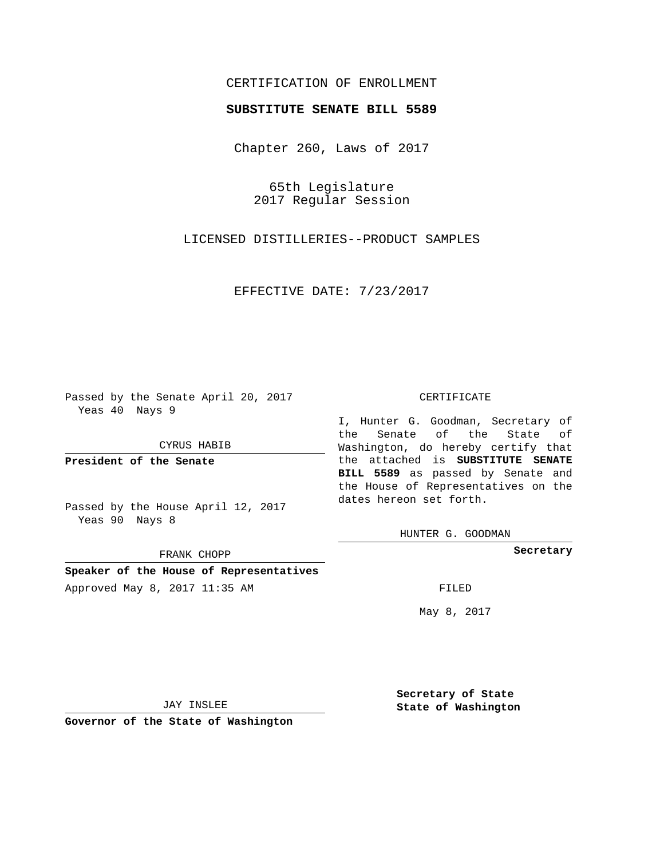## CERTIFICATION OF ENROLLMENT

## **SUBSTITUTE SENATE BILL 5589**

Chapter 260, Laws of 2017

65th Legislature 2017 Regular Session

LICENSED DISTILLERIES--PRODUCT SAMPLES

EFFECTIVE DATE: 7/23/2017

Passed by the Senate April 20, 2017 Yeas 40 Nays 9

CYRUS HABIB

**President of the Senate**

Passed by the House April 12, 2017 Yeas 90 Nays 8

FRANK CHOPP

**Speaker of the House of Representatives** Approved May 8, 2017 11:35 AM FILED

#### CERTIFICATE

I, Hunter G. Goodman, Secretary of the Senate of the State of Washington, do hereby certify that the attached is **SUBSTITUTE SENATE BILL 5589** as passed by Senate and the House of Representatives on the dates hereon set forth.

HUNTER G. GOODMAN

**Secretary**

May 8, 2017

JAY INSLEE

**Governor of the State of Washington**

**Secretary of State State of Washington**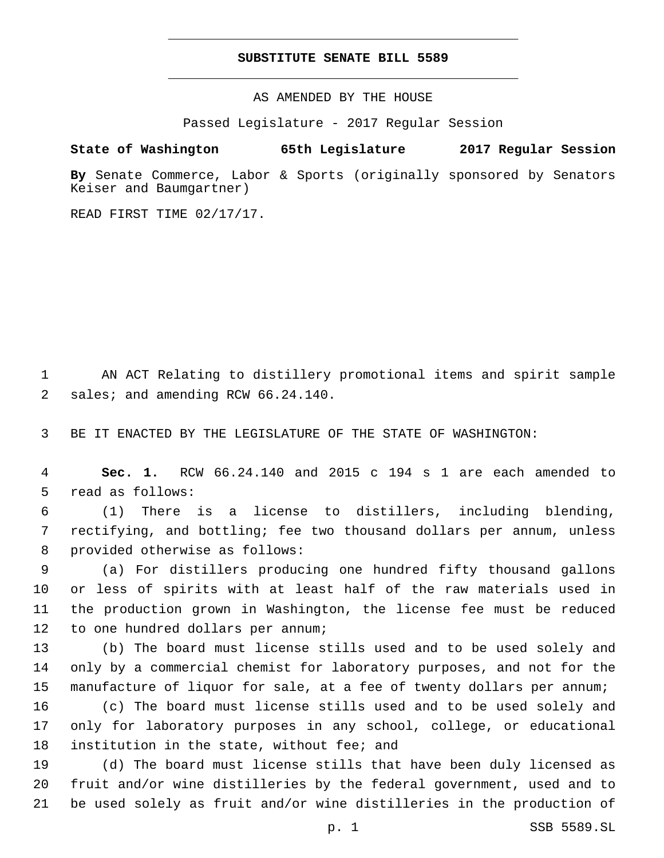### **SUBSTITUTE SENATE BILL 5589**

AS AMENDED BY THE HOUSE

Passed Legislature - 2017 Regular Session

# **State of Washington 65th Legislature 2017 Regular Session**

**By** Senate Commerce, Labor & Sports (originally sponsored by Senators Keiser and Baumgartner)

READ FIRST TIME 02/17/17.

1 AN ACT Relating to distillery promotional items and spirit sample 2 sales; and amending RCW 66.24.140.

3 BE IT ENACTED BY THE LEGISLATURE OF THE STATE OF WASHINGTON:

4 **Sec. 1.** RCW 66.24.140 and 2015 c 194 s 1 are each amended to 5 read as follows:

6 (1) There is a license to distillers, including blending, 7 rectifying, and bottling; fee two thousand dollars per annum, unless 8 provided otherwise as follows:

 (a) For distillers producing one hundred fifty thousand gallons or less of spirits with at least half of the raw materials used in the production grown in Washington, the license fee must be reduced 12 to one hundred dollars per annum;

13 (b) The board must license stills used and to be used solely and 14 only by a commercial chemist for laboratory purposes, and not for the 15 manufacture of liquor for sale, at a fee of twenty dollars per annum;

16 (c) The board must license stills used and to be used solely and 17 only for laboratory purposes in any school, college, or educational 18 institution in the state, without fee; and

19 (d) The board must license stills that have been duly licensed as 20 fruit and/or wine distilleries by the federal government, used and to 21 be used solely as fruit and/or wine distilleries in the production of